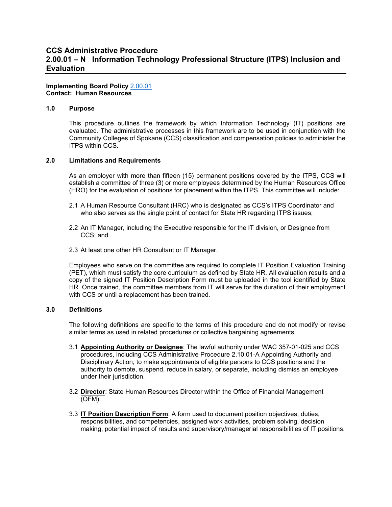# **CCS Administrative Procedure 2.00.01 – N Information Technology Professional Structure (ITPS) Inclusion and Evaluation**

#### **Implementing Board Policy** [2.00.01](https://ccs.spokane.edu/About-Us/Leadership/Board-of-Trustees/Policies-Procedures/Chapter2#AccWE2-1) **Contact: Human Resources**

### **1.0 Purpose**

This procedure outlines the framework by which Information Technology (IT) positions are evaluated. The administrative processes in this framework are to be used in conjunction with the Community Colleges of Spokane (CCS) classification and compensation policies to administer the ITPS within CCS.

#### **2.0 Limitations and Requirements**

As an employer with more than fifteen (15) permanent positions covered by the ITPS, CCS will establish a committee of three (3) or more employees determined by the Human Resources Office (HRO) for the evaluation of positions for placement within the ITPS. This committee will include:

- 2.1 A Human Resource Consultant (HRC) who is designated as CCS's ITPS Coordinator and who also serves as the single point of contact for State HR regarding ITPS issues;
- 2.2 An IT Manager, including the Executive responsible for the IT division, or Designee from CCS; and
- 2.3 At least one other HR Consultant or IT Manager.

Employees who serve on the committee are required to complete IT Position Evaluation Training (PET), which must satisfy the core curriculum as defined by State HR. All evaluation results and a copy of the signed IT Position Description Form must be uploaded in the tool identified by State HR. Once trained, the committee members from IT will serve for the duration of their employment with CCS or until a replacement has been trained.

## **3.0 Definitions**

The following definitions are specific to the terms of this procedure and do not modify or revise similar terms as used in related procedures or collective bargaining agreements.

- 3.1 **Appointing Authority or Designee**: The lawful authority under WAC 357-01-025 and CCS procedures, including CCS Administrative Procedure 2.10.01-A Appointing Authority and Disciplinary Action, to make appointments of eligible persons to CCS positions and the authority to demote, suspend, reduce in salary, or separate, including dismiss an employee under their jurisdiction.
- 3.2 **Director**: State Human Resources Director within the Office of Financial Management (OFM).
- 3.3 **IT Position Description Form**: A form used to document position objectives, duties, responsibilities, and competencies, assigned work activities, problem solving, decision making, potential impact of results and supervisory/managerial responsibilities of IT positions.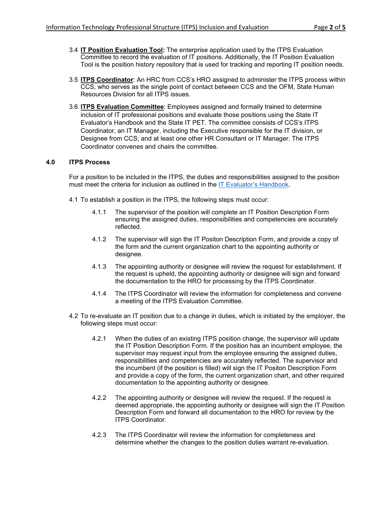- 3.4 **IT Position Evaluation Tool:** The enterprise application used by the ITPS Evaluation Committee to record the evaluation of IT positions. Additionally, the IT Position Evaluation Tool is the position history repository that is used for tracking and reporting IT position needs.
- 3.5 **ITPS Coordinator**: An HRC from CCS's HRO assigned to administer the ITPS process within CCS, who serves as the single point of contact between CCS and the OFM, State Human Resources Division for all ITPS issues.
- 3.6 **ITPS Evaluation Committee**: Employees assigned and formally trained to determine inclusion of IT professional positions and evaluate those positions using the State IT Evaluator's Handbook and the State IT PET. The committee consists of CCS's ITPS Coordinator, an IT Manager, including the Executive responsible for the IT division, or Designee from CCS; and at least one other HR Consultant or IT Manager. The ITPS Coordinator convenes and chairs the committee.

# **4.0 ITPS Process**

For a position to be included in the ITPS, the duties and responsibilities assigned to the position must meet the criteria for inclusion as outlined in the [IT Evaluator's Handbook.](https://ofm.wa.gov/sites/default/files/public/shr/CompensationAndJobClasses/it-position-evaluation-tool/IT%20Evaluator%27s%20Handbook%20May%202020%20Version4.pdf)

- 4.1 To establish a position in the ITPS, the following steps must occur:
	- 4.1.1 The supervisor of the position will complete an IT Position Description Form ensuring the assigned duties, responsibilities and competencies are accurately reflected.
	- 4.1.2 The supervisor will sign the IT Positon Description Form, and provide a copy of the form and the current organization chart to the appointing authority or designee.
	- 4.1.3 The appointing authority or designee will review the request for establishment. If the request is upheld, the appointing authority or designee will sign and forward the documentation to the HRO for processing by the ITPS Coordinator.
	- 4.1.4 The ITPS Coordinator will review the information for completeness and convene a meeting of the ITPS Evaluation Committee.
- 4.2 To re-evaluate an IT position due to a change in duties, which is initiated by the employer, the following steps must occur:
	- 4.2.1 When the duties of an existing ITPS position change, the supervisor will update the IT Position Description Form. If the position has an incumbent employee, the supervisor may request input from the employee ensuring the assigned duties, responsibilities and competencies are accurately reflected. The supervisor and the incumbent (if the position is filled) will sign the IT Positon Description Form and provide a copy of the form, the current organization chart, and other required documentation to the appointing authority or designee.
	- 4.2.2 The appointing authority or designee will review the request. If the request is deemed appropriate, the appointing authority or designee will sign the IT Position Description Form and forward all documentation to the HRO for review by the ITPS Coordinator.
	- 4.2.3 The ITPS Coordinator will review the information for completeness and determine whether the changes to the position duties warrant re-evaluation.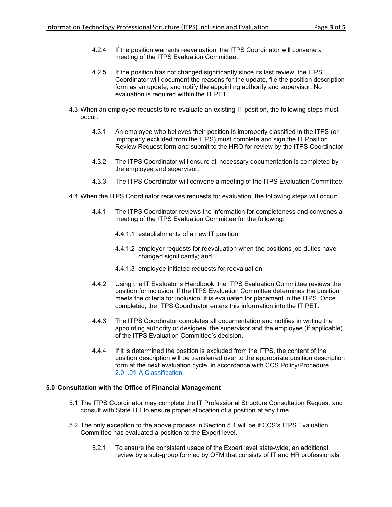- 4.2.4 If the position warrants reevaluation, the ITPS Coordinator will convene a meeting of the ITPS Evaluation Committee.
- 4.2.5 If the position has not changed significantly since its last review, the ITPS Coordinator will document the reasons for the update, file the position description form as an update, and notify the appointing authority and supervisor. No evaluation is required within the IT PET.
- 4.3 When an employee requests to re-evaluate an existing IT position, the following steps must occur:
	- 4.3.1 An employee who believes their position is improperly classified in the ITPS (or improperly excluded from the ITPS) must complete and sign the IT Position Review Request form and submit to the HRO for review by the ITPS Coordinator.
	- 4.3.2 The ITPS Coordinator will ensure all necessary documentation is completed by the employee and supervisor.
	- 4.3.3 The ITPS Coordinator will convene a meeting of the ITPS Evaluation Committee.
- 4.4 When the ITPS Coordinator receives requests for evaluation, the following steps will occur:
	- 4.4.1 The ITPS Coordinator reviews the information for completeness and convenes a meeting of the ITPS Evaluation Committee for the following:
		- 4.4.1.1 establishments of a new IT position;
		- 4.4.1.2 employer requests for reevaluation when the positions job duties have changed significantly; and
		- 4.4.1.3 employee initiated requests for reevaluation.
	- 4.4.2 Using the IT Evaluator's Handbook, the ITPS Evaluation Committee reviews the position for inclusion. If the ITPS Evaluation Committee determines the position meets the criteria for inclusion, it is evaluated for placement in the ITPS. Once completed, the ITPS Coordinator enters this information into the IT PET.
	- 4.4.3 The ITPS Coordinator completes all documentation and notifies in writing the appointing authority or designee, the supervisor and the employee (if applicable) of the ITPS Evaluation Committee's decision.
	- 4.4.4 If it is determined the position is excluded from the ITPS, the content of the position description will be transferred over to the appropriate position description form at the next evaluation cycle, in accordance with CCS Policy/Procedure [2.01.01-A Classification.](https://ccs.spokane.edu/ccsglobal/media/Global/PDFs/District/Policies/CH2/2.00.00_PersAdmin/2-00-01A_Classification.pdf)

## **5.0 Consultation with the Office of Financial Management**

- 5.1 The ITPS Coordinator may complete the IT Professional Structure Consultation Request and consult with State HR to ensure proper allocation of a position at any time.
- 5.2 The only exception to the above process in Section 5.1 will be if CCS's ITPS Evaluation Committee has evaluated a position to the Expert level.
	- 5.2.1 To ensure the consistent usage of the Expert level state-wide, an additional review by a sub-group formed by OFM that consists of IT and HR professionals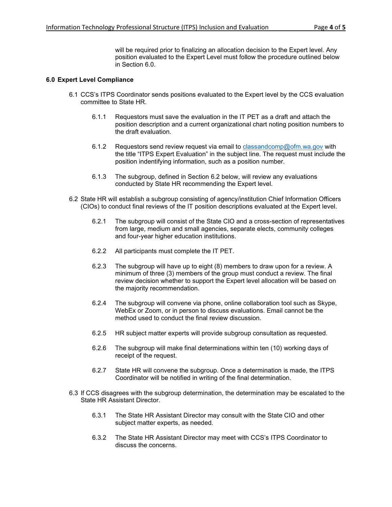will be required prior to finalizing an allocation decision to the Expert level. Any position evaluated to the Expert Level must follow the procedure outlined below in Section 6.0.

### **6.0 Expert Level Compliance**

- 6.1 CCS's ITPS Coordinator sends positions evaluated to the Expert level by the CCS evaluation committee to State HR.
	- 6.1.1 Requestors must save the evaluation in the IT PET as a draft and attach the position description and a current organizational chart noting position numbers to the draft evaluation.
	- 6.1.2 Requestors send review request via email to [classandcomp@ofm.wa.gov](mailto:classandcomp@ofm.wa.gov) with the title "ITPS Expert Evaluation" in the subject line. The request must include the position indentifying information, such as a position number.
	- 6.1.3 The subgroup, defined in Section 6.2 below, will review any evaluations conducted by State HR recommending the Expert level.
- 6.2 State HR will establish a subgroup consisting of agency/institution Chief Information Officers (CIOs) to conduct final reviews of the IT position descriptions evaluated at the Expert level.
	- 6.2.1 The subgroup will consist of the State CIO and a cross-section of representatives from large, medium and small agencies, separate elects, community colleges and four-year higher education institutions.
	- 6.2.2 All participants must complete the IT PET.
	- 6.2.3 The subgroup will have up to eight (8) members to draw upon for a review. A minimum of three (3) members of the group must conduct a review. The final review decision whether to support the Expert level allocation will be based on the majority recommendation.
	- 6.2.4 The subgroup will convene via phone, online collaboration tool such as Skype, WebEx or Zoom, or in person to discuss evaluations. Email cannot be the method used to conduct the final review discussion.
	- 6.2.5 HR subject matter experts will provide subgroup consultation as requested.
	- 6.2.6 The subgroup will make final determinations within ten (10) working days of receipt of the request.
	- 6.2.7 State HR will convene the subgroup. Once a determination is made, the ITPS Coordinator will be notified in writing of the final determination.
- 6.3 If CCS disagrees with the subgroup determination, the determination may be escalated to the State HR Assistant Director.
	- 6.3.1 The State HR Assistant Director may consult with the State CIO and other subject matter experts, as needed.
	- 6.3.2 The State HR Assistant Director may meet with CCS's ITPS Coordinator to discuss the concerns.